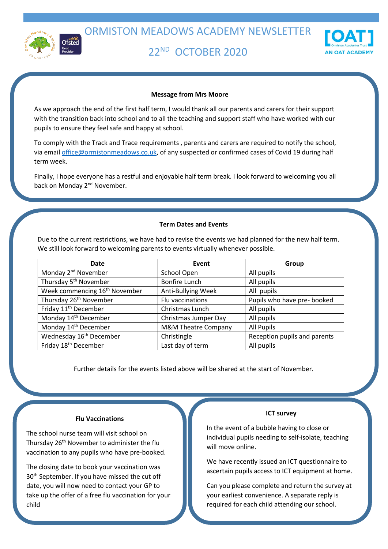

# 22ND OCTOBER 2020



## **Message from Mrs Moore**

As we approach the end of the first half term, I would thank all our parents and carers for their support with the transition back into school and to all the teaching and support staff who have worked with our pupils to ensure they feel safe and happy at school.

To comply with the Track and Trace requirements , parents and carers are required to notify the school, via email [office@ormistonmeadows.co.uk,](mailto:office@ormistonmeadows.co.uk) of any suspected or confirmed cases of Covid 19 during half term week.

Finally, I hope everyone has a restful and enjoyable half term break. I look forward to welcoming you all back on Monday 2<sup>nd</sup> November.

## **Term Dates and Events**

Due to the current restrictions, we have had to revise the events we had planned for the new half term. We still look forward to welcoming parents to events virtually whenever possible.

| Date                                      | Event                          | Group                        |
|-------------------------------------------|--------------------------------|------------------------------|
| Monday 2 <sup>nd</sup> November           | School Open                    | All pupils                   |
| Thursday 5 <sup>th</sup> November         | <b>Bonfire Lunch</b>           | All pupils                   |
| Week commencing 16 <sup>th</sup> November | Anti-Bullying Week             | All pupils                   |
| Thursday 26 <sup>th</sup> November        | Flu vaccinations               | Pupils who have pre- booked  |
| Friday 11 <sup>th</sup> December          | Christmas Lunch                | All pupils                   |
| Monday 14 <sup>th</sup> December          | Christmas Jumper Day           | All pupils                   |
| Monday 14 <sup>th</sup> December          | <b>M&amp;M Theatre Company</b> | <b>All Pupils</b>            |
| Wednesday 16 <sup>th</sup> December       | Christingle                    | Reception pupils and parents |
| Friday 18 <sup>th</sup> December          | Last day of term               | All pupils                   |

Further details for the events listed above will be shared at the start of November.

# **Flu Vaccinations**

The school nurse team will visit school on Thursday 26<sup>th</sup> November to administer the flu vaccination to any pupils who have pre-booked.

The closing date to book your vaccination was 30<sup>th</sup> September. If you have missed the cut off date, you will now need to contact your GP to take up the offer of a free flu vaccination for your child

#### **ICT survey**

In the event of a bubble having to close or individual pupils needing to self-isolate, teaching will move online.

We have recently issued an ICT questionnaire to ascertain pupils access to ICT equipment at home.

Can you please complete and return the survey at your earliest convenience. A separate reply is required for each child attending our school.